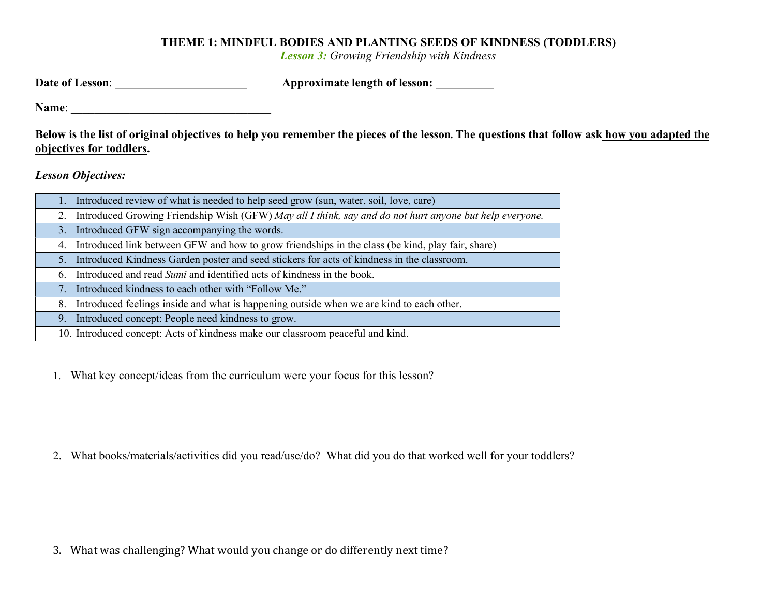## THEME 1: MINDFUL BODIES AND PLANTING SEEDS OF KINDNESS (TODDLERS)

Lesson 3: Growing Friendship with Kindness

| Date of Lesson: | <b>Approximate length of lesson:</b> |
|-----------------|--------------------------------------|
|                 |                                      |

Name: \_\_\_\_\_\_\_\_\_\_\_\_\_\_\_\_\_\_\_\_\_\_\_\_\_\_\_\_\_\_\_\_\_\_

Below is the list of original objectives to help you remember the pieces of the lesson. The questions that follow ask how you adapted the objectives for toddlers.

Lesson Objectives:

|    | 1. Introduced review of what is needed to help seed grow (sun, water, soil, love, care)                    |
|----|------------------------------------------------------------------------------------------------------------|
|    | 2. Introduced Growing Friendship Wish (GFW) May all I think, say and do not hurt anyone but help everyone. |
|    | 3. Introduced GFW sign accompanying the words.                                                             |
|    | 4. Introduced link between GFW and how to grow friendships in the class (be kind, play fair, share)        |
| 5. | Introduced Kindness Garden poster and seed stickers for acts of kindness in the classroom.                 |
|    | 6. Introduced and read Sumi and identified acts of kindness in the book.                                   |
|    | 7. Introduced kindness to each other with "Follow Me."                                                     |
| 8. | Introduced feelings inside and what is happening outside when we are kind to each other.                   |
|    | 9. Introduced concept: People need kindness to grow.                                                       |
|    | 10. Introduced concept: Acts of kindness make our classroom peaceful and kind.                             |

1. What key concept/ideas from the curriculum were your focus for this lesson?

2. What books/materials/activities did you read/use/do? What did you do that worked well for your toddlers?

3. What was challenging? What would you change or do differently next time?